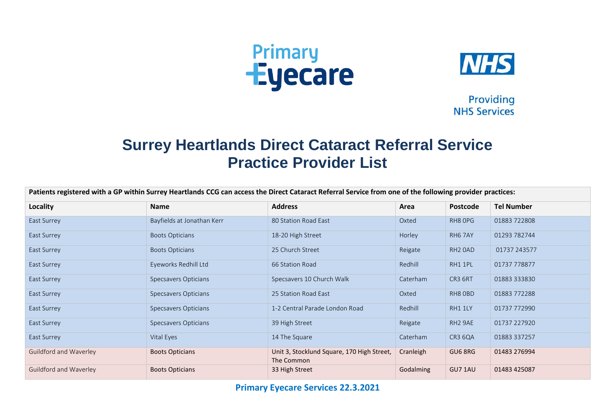



Providing **NHS Services** 

## **Surrey Heartlands Direct Cataract Referral Service Practice Provider List**

| Patients registered with a GP within Surrey Heartlands CCG can access the Direct Cataract Referral Service from one of the following provider practices: |                             |                                                          |           |                     |                   |  |
|----------------------------------------------------------------------------------------------------------------------------------------------------------|-----------------------------|----------------------------------------------------------|-----------|---------------------|-------------------|--|
| <b>Locality</b>                                                                                                                                          | <b>Name</b>                 | <b>Address</b>                                           | Area      | <b>Postcode</b>     | <b>Tel Number</b> |  |
| East Surrey                                                                                                                                              | Bayfields at Jonathan Kerr  | 80 Station Road East                                     | Oxted     | RH8 OPG             | 01883722808       |  |
| East Surrey                                                                                                                                              | <b>Boots Opticians</b>      | 18-20 High Street                                        | Horley    | RH6 7AY             | 01293 782744      |  |
| East Surrey                                                                                                                                              | <b>Boots Opticians</b>      | 25 Church Street                                         | Reigate   | RH <sub>2</sub> OAD | 01737 243577      |  |
| East Surrey                                                                                                                                              | Eyeworks Redhill Ltd        | 66 Station Road                                          | Redhill   | RH1 1PL             | 01737 778877      |  |
| East Surrey                                                                                                                                              | Specsavers Opticians        | Specsavers 10 Church Walk                                | Caterham  | CR3 6RT             | 01883 333830      |  |
| East Surrey                                                                                                                                              | <b>Specsavers Opticians</b> | 25 Station Road East                                     | Oxted     | RH8 OBD             | 01883772288       |  |
| East Surrey                                                                                                                                              | Specsavers Opticians        | 1-2 Central Parade London Road                           | Redhill   | RH1 1LY             | 01737 772990      |  |
| East Surrey                                                                                                                                              | Specsavers Opticians        | 39 High Street                                           | Reigate   | RH2 9AE             | 01737 227920      |  |
| East Surrey                                                                                                                                              | Vital Eyes                  | 14 The Square                                            | Caterham  | CR3 6QA             | 01883 337257      |  |
| Guildford and Waverley                                                                                                                                   | <b>Boots Opticians</b>      | Unit 3, Stocklund Square, 170 High Street,<br>The Common | Cranleigh | GU6 8RG             | 01483 276994      |  |
| Guildford and Waverley                                                                                                                                   | <b>Boots Opticians</b>      | 33 High Street                                           | Godalming | GU7 1AU             | 01483 425087      |  |

**Primary Eyecare Services 22.3.2021**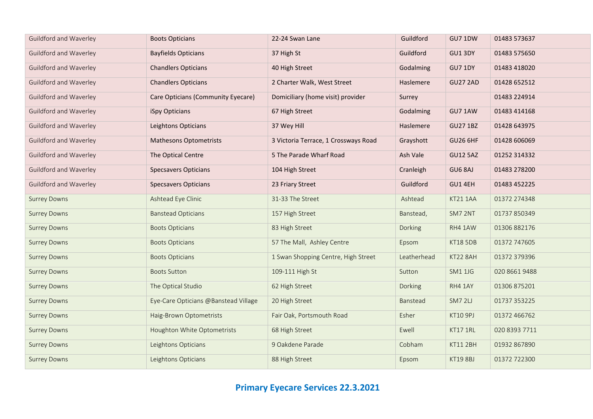| <b>Guildford and Waverley</b> | <b>Boots Opticians</b>               | 22-24 Swan Lane                      | Guildford   | GU7 1DW         | 01483 573637  |
|-------------------------------|--------------------------------------|--------------------------------------|-------------|-----------------|---------------|
| Guildford and Waverley        | <b>Bayfields Opticians</b>           | 37 High St                           | Guildford   | GU1 3DY         | 01483 575650  |
| Guildford and Waverley        | <b>Chandlers Opticians</b>           | 40 High Street                       | Godalming   | GU7 1DY         | 01483 418020  |
| Guildford and Waverley        | <b>Chandlers Opticians</b>           | 2 Charter Walk, West Street          | Haslemere   | <b>GU27 2AD</b> | 01428 652512  |
| <b>Guildford and Waverley</b> | Care Opticians (Community Eyecare)   | Domiciliary (home visit) provider    | Surrey      |                 | 01483 224914  |
| <b>Guildford and Waverley</b> | iSpy Opticians                       | 67 High Street                       | Godalming   | GU7 1AW         | 01483 414168  |
| <b>Guildford and Waverley</b> | Leightons Opticians                  | 37 Wey Hill                          | Haslemere   | <b>GU27 1BZ</b> | 01428 643975  |
| <b>Guildford and Waverley</b> | <b>Mathesons Optometrists</b>        | 3 Victoria Terrace, 1 Crossways Road | Grayshott   | <b>GU26 6HF</b> | 01428 606069  |
| <b>Guildford and Waverley</b> | The Optical Centre                   | 5 The Parade Wharf Road              | Ash Vale    | <b>GU12 5AZ</b> | 01252 314332  |
| Guildford and Waverley        | <b>Specsavers Opticians</b>          | 104 High Street                      | Cranleigh   | GU6 8AJ         | 01483 278200  |
| Guildford and Waverley        | <b>Specsavers Opticians</b>          | 23 Friary Street                     | Guildford   | GU1 4EH         | 01483 452225  |
| <b>Surrey Downs</b>           | Ashtead Eye Clinic                   | 31-33 The Street                     | Ashtead     | KT21 1AA        | 01372 274348  |
| <b>Surrey Downs</b>           | <b>Banstead Opticians</b>            | 157 High Street                      | Banstead,   | SM7 2NT         | 01737 850349  |
| <b>Surrey Downs</b>           | <b>Boots Opticians</b>               | 83 High Street                       | Dorking     | RH4 1AW         | 01306 882176  |
| <b>Surrey Downs</b>           | <b>Boots Opticians</b>               | 57 The Mall, Ashley Centre           | Epsom       | <b>KT18 5DB</b> | 01372 747605  |
| <b>Surrey Downs</b>           | <b>Boots Opticians</b>               | 1 Swan Shopping Centre, High Street  | Leatherhead | KT22 8AH        | 01372 379396  |
| <b>Surrey Downs</b>           | <b>Boots Sutton</b>                  | 109-111 High St                      | Sutton      | <b>SM1 1JG</b>  | 020 8661 9488 |
| <b>Surrey Downs</b>           | The Optical Studio                   | 62 High Street                       | Dorking     | RH4 1AY         | 01306 875201  |
| <b>Surrey Downs</b>           | Eye-Care Opticians @Banstead Village | 20 High Street                       | Banstead    | SM7 2LJ         | 01737 353225  |
| <b>Surrey Downs</b>           | Haig-Brown Optometrists              | Fair Oak, Portsmouth Road            | Esher       | KT10 9PJ        | 01372 466762  |
| <b>Surrey Downs</b>           | Houghton White Optometrists          | 68 High Street                       | Ewell       | KT17 1RL        | 020 8393 7711 |
| <b>Surrey Downs</b>           | Leightons Opticians                  | 9 Oakdene Parade                     | Cobham      | KT11 2BH        | 01932 867890  |
| <b>Surrey Downs</b>           | Leightons Opticians                  | 88 High Street                       | Epsom       | <b>KT19 8BJ</b> | 01372 722300  |

## **Primary Eyecare Services 22.3.2021**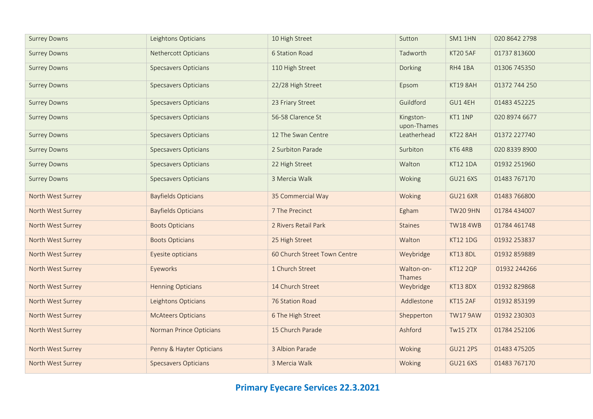| <b>Surrey Downs</b> | Leightons Opticians         | 10 High Street               | Sutton                   | SM1 1HN         | 020 8642 2798 |
|---------------------|-----------------------------|------------------------------|--------------------------|-----------------|---------------|
| <b>Surrey Downs</b> | Nethercott Opticians        | 6 Station Road               | Tadworth                 | <b>KT20 5AF</b> | 01737 813600  |
| <b>Surrey Downs</b> | <b>Specsavers Opticians</b> | 110 High Street              | Dorking                  | RH4 1BA         | 01306 745350  |
| <b>Surrey Downs</b> | <b>Specsavers Opticians</b> | 22/28 High Street            | Epsom                    | KT19 8AH        | 01372 744 250 |
| <b>Surrey Downs</b> | <b>Specsavers Opticians</b> | 23 Friary Street             | Guildford                | GU1 4EH         | 01483 452225  |
| <b>Surrey Downs</b> | <b>Specsavers Opticians</b> | 56-58 Clarence St            | Kingston-<br>upon-Thames | KT1 1NP         | 020 8974 6677 |
| <b>Surrey Downs</b> | <b>Specsavers Opticians</b> | 12 The Swan Centre           | Leatherhead              | KT22 8AH        | 01372 227740  |
| <b>Surrey Downs</b> | <b>Specsavers Opticians</b> | 2 Surbiton Parade            | Surbiton                 | KT6 4RB         | 020 8339 8900 |
| <b>Surrey Downs</b> | <b>Specsavers Opticians</b> | 22 High Street               | Walton                   | <b>KT12 1DA</b> | 01932 251960  |
| <b>Surrey Downs</b> | <b>Specsavers Opticians</b> | 3 Mercia Walk                | Woking                   | <b>GU21 6XS</b> | 01483 767170  |
| North West Surrey   | <b>Bayfields Opticians</b>  | 35 Commercial Way            | Woking                   | <b>GU21 6XR</b> | 01483 766800  |
| North West Surrey   | <b>Bayfields Opticians</b>  | 7 The Precinct               | Egham                    | <b>TW20 9HN</b> | 01784 434007  |
| North West Surrey   | <b>Boots Opticians</b>      | 2 Rivers Retail Park         | <b>Staines</b>           | <b>TW18 4WB</b> | 01784 461748  |
| North West Surrey   | <b>Boots Opticians</b>      | 25 High Street               | Walton                   | <b>KT12 1DG</b> | 01932 253837  |
| North West Surrey   | Eyesite opticians           | 60 Church Street Town Centre | Weybridge                | <b>KT13 8DL</b> | 01932 859889  |
| North West Surrey   | Eyeworks                    | 1 Church Street              | Walton-on-<br>Thames     | <b>KT12 2QP</b> | 01932 244266  |
| North West Surrey   | <b>Henning Opticians</b>    | 14 Church Street             | Weybridge                | KT13 8DX        | 01932 829868  |
| North West Surrey   | Leightons Opticians         | 76 Station Road              | Addlestone               | <b>KT15 2AF</b> | 01932 853199  |
| North West Surrey   | <b>McAteers Opticians</b>   | 6 The High Street            | Shepperton               | <b>TW17 9AW</b> | 01932 230303  |
| North West Surrey   | Norman Prince Opticians     | 15 Church Parade             | Ashford                  | <b>Tw15 2TX</b> | 01784 252106  |
| North West Surrey   | Penny & Hayter Opticians    | 3 Albion Parade              | Woking                   | <b>GU21 2PS</b> | 01483 475205  |
| North West Surrey   | <b>Specsavers Opticians</b> | 3 Mercia Walk                | Woking                   | <b>GU21 6XS</b> | 01483 767170  |

## **Primary Eyecare Services 22.3.2021**